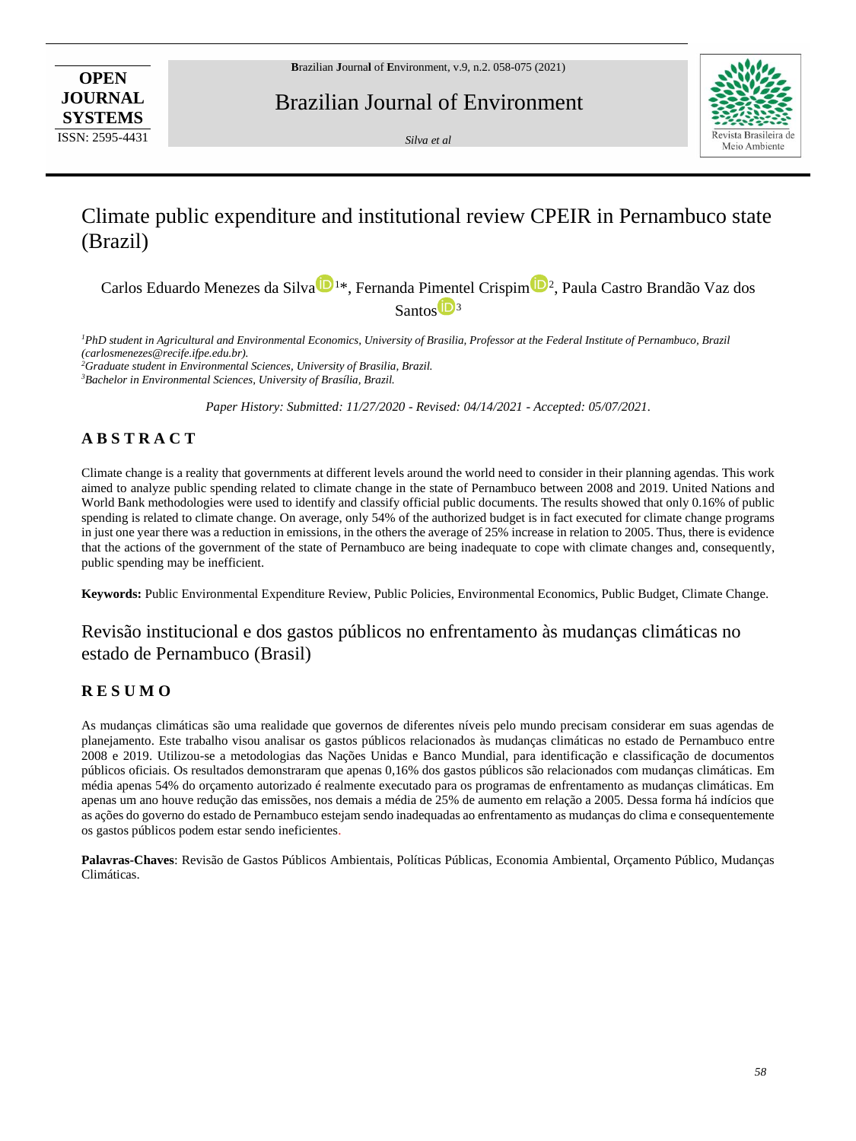**OPEN JOURNAL SYSTEMS** ISSN: 2595-4431

Brazilian Journal of Environment

*Silva et al*



# Climate public expenditure and institutional review CPEIR in Pernambuco state (Brazil)

Carlos Eduardo Menezes da Silva<sup>10</sup><sup>1\*</sup>, Fernanda Pi[m](https://orcid.org/0000-0001-5823-4772)entel Crispim<sup>102</sup>, Paula Castro Brandão Vaz dos Santo[s](https://orcid.org/0000-0003-2643-5283)<sup>D<sub>3</sub></sup>

<sup>1</sup>*PhD student in Agricultural and Environmental Economics, University of Brasilia, Professor at the Federal Institute of Pernambuco, Brazil (carlosmenezes@recife.ifpe.edu.br).*

*<sup>2</sup>Graduate student in Environmental Sciences, University of Brasilia, Brazil. <sup>3</sup>Bachelor in Environmental Sciences, University of Brasília, Brazil.*

*Paper History: Submitted: 11/27/2020 - Revised: 04/14/2021 - Accepted: 05/07/2021.*

# **A B S T R A C T**

Climate change is a reality that governments at different levels around the world need to consider in their planning agendas. This work aimed to analyze public spending related to climate change in the state of Pernambuco between 2008 and 2019. United Nations and World Bank methodologies were used to identify and classify official public documents. The results showed that only 0.16% of public spending is related to climate change. On average, only 54% of the authorized budget is in fact executed for climate change programs in just one year there was a reduction in emissions, in the others the average of 25% increase in relation to 2005. Thus, there is evidence that the actions of the government of the state of Pernambuco are being inadequate to cope with climate changes and, consequently, public spending may be inefficient.

**Keywords:** Public Environmental Expenditure Review, Public Policies, Environmental Economics, Public Budget, Climate Change.

# Revisão institucional e dos gastos públicos no enfrentamento às mudanças climáticas no estado de Pernambuco (Brasil)

## **R E S U M O**

As mudanças climáticas são uma realidade que governos de diferentes níveis pelo mundo precisam considerar em suas agendas de planejamento. Este trabalho visou analisar os gastos públicos relacionados às mudanças climáticas no estado de Pernambuco entre 2008 e 2019. Utilizou-se a metodologias das Nações Unidas e Banco Mundial, para identificação e classificação de documentos públicos oficiais. Os resultados demonstraram que apenas 0,16% dos gastos públicos são relacionados com mudanças climáticas. Em média apenas 54% do orçamento autorizado é realmente executado para os programas de enfrentamento as mudanças climáticas. Em apenas um ano houve redução das emissões, nos demais a média de 25% de aumento em relação a 2005. Dessa forma há indícios que as ações do governo do estado de Pernambuco estejam sendo inadequadas ao enfrentamento as mudanças do clima e consequentemente os gastos públicos podem estar sendo ineficientes.

**Palavras-Chaves**: Revisão de Gastos Públicos Ambientais, Políticas Públicas, Economia Ambiental, Orçamento Público, Mudanças Climáticas.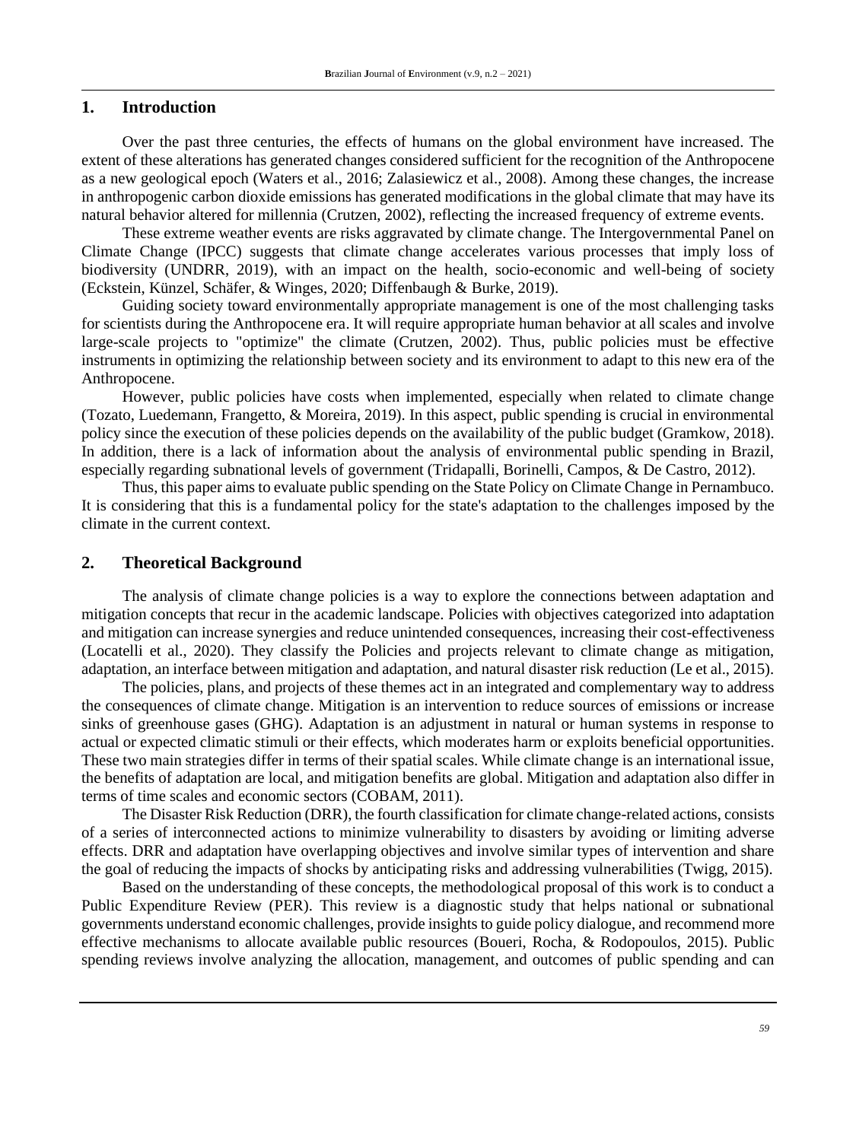### **1. Introduction**

Over the past three centuries, the effects of humans on the global environment have increased. The extent of these alterations has generated changes considered sufficient for the recognition of the Anthropocene as a new geological epoch (Waters et al., 2016; Zalasiewicz et al., 2008). Among these changes, the increase in anthropogenic carbon dioxide emissions has generated modifications in the global climate that may have its natural behavior altered for millennia (Crutzen, 2002), reflecting the increased frequency of extreme events.

These extreme weather events are risks aggravated by climate change. The Intergovernmental Panel on Climate Change (IPCC) suggests that climate change accelerates various processes that imply loss of biodiversity (UNDRR, 2019), with an impact on the health, socio-economic and well-being of society (Eckstein, Künzel, Schäfer, & Winges, 2020; Diffenbaugh & Burke, 2019).

Guiding society toward environmentally appropriate management is one of the most challenging tasks for scientists during the Anthropocene era. It will require appropriate human behavior at all scales and involve large-scale projects to "optimize" the climate (Crutzen, 2002). Thus, public policies must be effective instruments in optimizing the relationship between society and its environment to adapt to this new era of the Anthropocene.

However, public policies have costs when implemented, especially when related to climate change (Tozato, Luedemann, Frangetto, & Moreira, 2019). In this aspect, public spending is crucial in environmental policy since the execution of these policies depends on the availability of the public budget (Gramkow, 2018). In addition, there is a lack of information about the analysis of environmental public spending in Brazil, especially regarding subnational levels of government (Tridapalli, Borinelli, Campos, & De Castro, 2012).

Thus, this paper aims to evaluate public spending on the State Policy on Climate Change in Pernambuco. It is considering that this is a fundamental policy for the state's adaptation to the challenges imposed by the climate in the current context.

## **2. Theoretical Background**

The analysis of climate change policies is a way to explore the connections between adaptation and mitigation concepts that recur in the academic landscape. Policies with objectives categorized into adaptation and mitigation can increase synergies and reduce unintended consequences, increasing their cost-effectiveness (Locatelli et al., 2020). They classify the Policies and projects relevant to climate change as mitigation, adaptation, an interface between mitigation and adaptation, and natural disaster risk reduction (Le et al., 2015).

The policies, plans, and projects of these themes act in an integrated and complementary way to address the consequences of climate change. Mitigation is an intervention to reduce sources of emissions or increase sinks of greenhouse gases (GHG). Adaptation is an adjustment in natural or human systems in response to actual or expected climatic stimuli or their effects, which moderates harm or exploits beneficial opportunities. These two main strategies differ in terms of their spatial scales. While climate change is an international issue, the benefits of adaptation are local, and mitigation benefits are global. Mitigation and adaptation also differ in terms of time scales and economic sectors (COBAM, 2011).

The Disaster Risk Reduction (DRR), the fourth classification for climate change-related actions, consists of a series of interconnected actions to minimize vulnerability to disasters by avoiding or limiting adverse effects. DRR and adaptation have overlapping objectives and involve similar types of intervention and share the goal of reducing the impacts of shocks by anticipating risks and addressing vulnerabilities (Twigg, 2015).

Based on the understanding of these concepts, the methodological proposal of this work is to conduct a Public Expenditure Review (PER). This review is a diagnostic study that helps national or subnational governments understand economic challenges, provide insights to guide policy dialogue, and recommend more effective mechanisms to allocate available public resources (Boueri, Rocha, & Rodopoulos, 2015). Public spending reviews involve analyzing the allocation, management, and outcomes of public spending and can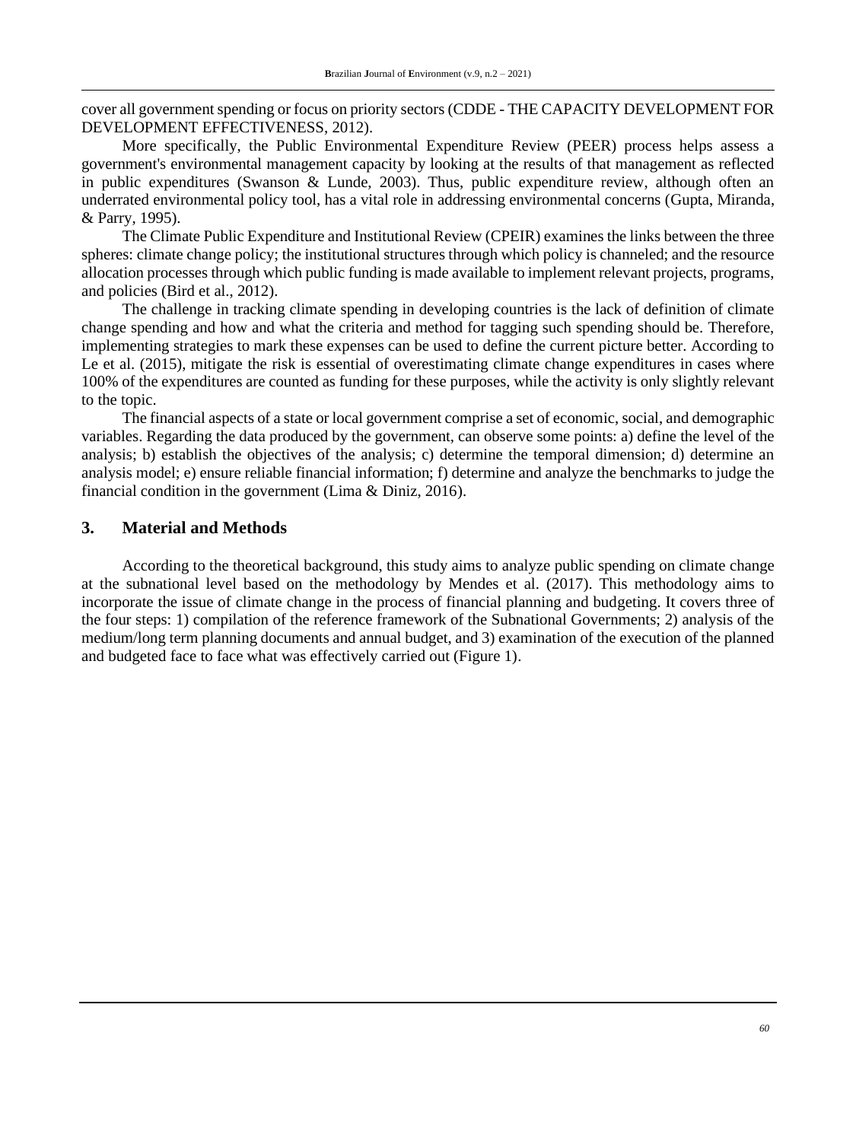cover all government spending or focus on priority sectors (CDDE - THE CAPACITY DEVELOPMENT FOR DEVELOPMENT EFFECTIVENESS, 2012).

More specifically, the Public Environmental Expenditure Review (PEER) process helps assess a government's environmental management capacity by looking at the results of that management as reflected in public expenditures (Swanson & Lunde, 2003). Thus, public expenditure review, although often an underrated environmental policy tool, has a vital role in addressing environmental concerns (Gupta, Miranda, & Parry, 1995).

The Climate Public Expenditure and Institutional Review (CPEIR) examines the links between the three spheres: climate change policy; the institutional structures through which policy is channeled; and the resource allocation processes through which public funding is made available to implement relevant projects, programs, and policies (Bird et al., 2012).

The challenge in tracking climate spending in developing countries is the lack of definition of climate change spending and how and what the criteria and method for tagging such spending should be. Therefore, implementing strategies to mark these expenses can be used to define the current picture better. According to Le et al. (2015), mitigate the risk is essential of overestimating climate change expenditures in cases where 100% of the expenditures are counted as funding for these purposes, while the activity is only slightly relevant to the topic.

The financial aspects of a state or local government comprise a set of economic, social, and demographic variables. Regarding the data produced by the government, can observe some points: a) define the level of the analysis; b) establish the objectives of the analysis; c) determine the temporal dimension; d) determine an analysis model; e) ensure reliable financial information; f) determine and analyze the benchmarks to judge the financial condition in the government (Lima & Diniz, 2016).

## **3. Material and Methods**

According to the theoretical background, this study aims to analyze public spending on climate change at the subnational level based on the methodology by Mendes et al. (2017). This methodology aims to incorporate the issue of climate change in the process of financial planning and budgeting. It covers three of the four steps: 1) compilation of the reference framework of the Subnational Governments; 2) analysis of the medium/long term planning documents and annual budget, and 3) examination of the execution of the planned and budgeted face to face what was effectively carried out (Figure 1).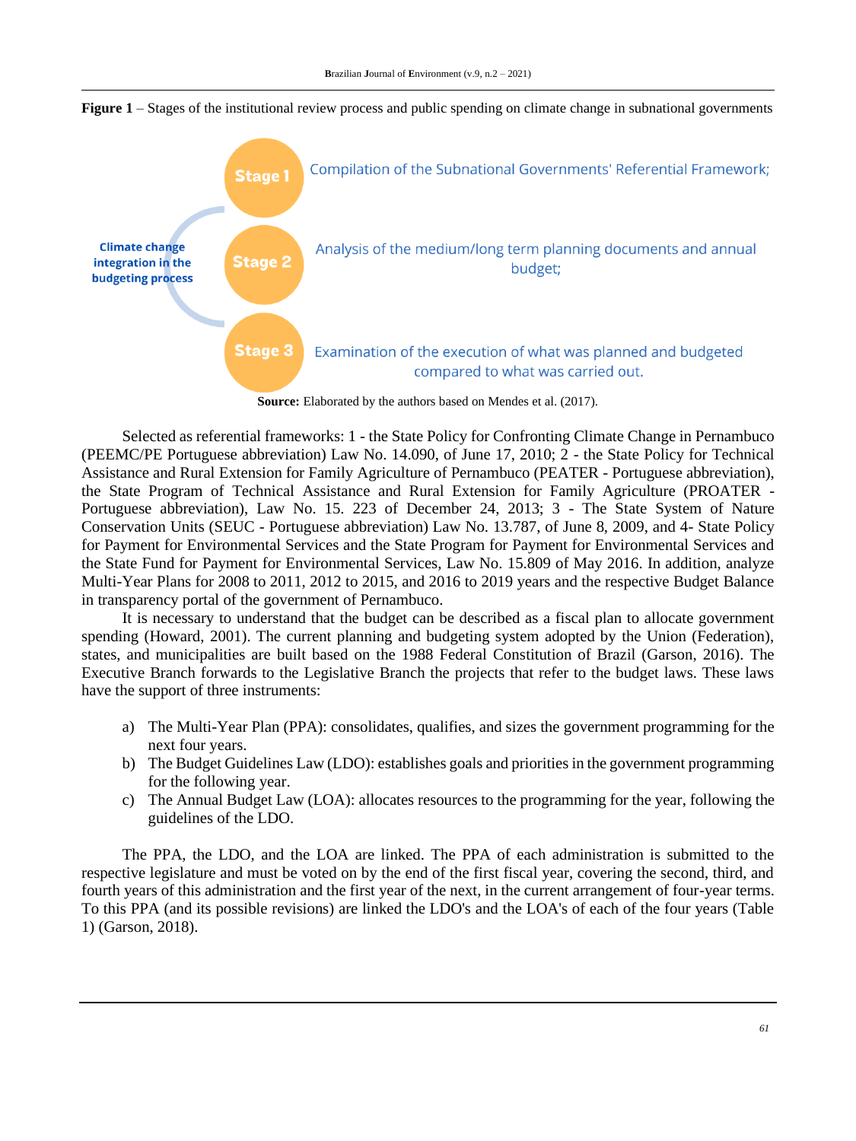

**Figure 1** – Stages of the institutional review process and public spending on climate change in subnational governments

Source: Elaborated by the authors based on Mendes et al. (2017).

Selected as referential frameworks: 1 - the State Policy for Confronting Climate Change in Pernambuco (PEEMC/PE Portuguese abbreviation) Law No. 14.090, of June 17, 2010; 2 - the State Policy for Technical Assistance and Rural Extension for Family Agriculture of Pernambuco (PEATER - Portuguese abbreviation), the State Program of Technical Assistance and Rural Extension for Family Agriculture (PROATER - Portuguese abbreviation), Law No. 15. 223 of December 24, 2013; 3 - The State System of Nature Conservation Units (SEUC - Portuguese abbreviation) Law No. 13.787, of June 8, 2009, and 4- State Policy for Payment for Environmental Services and the State Program for Payment for Environmental Services and the State Fund for Payment for Environmental Services, Law No. 15.809 of May 2016. In addition, analyze Multi-Year Plans for 2008 to 2011, 2012 to 2015, and 2016 to 2019 years and the respective Budget Balance in transparency portal of the government of Pernambuco.

It is necessary to understand that the budget can be described as a fiscal plan to allocate government spending (Howard, 2001). The current planning and budgeting system adopted by the Union (Federation), states, and municipalities are built based on the 1988 Federal Constitution of Brazil (Garson, 2016). The Executive Branch forwards to the Legislative Branch the projects that refer to the budget laws. These laws have the support of three instruments:

- a) The Multi-Year Plan (PPA): consolidates, qualifies, and sizes the government programming for the next four years.
- b) The Budget Guidelines Law (LDO): establishes goals and priorities in the government programming for the following year.
- c) The Annual Budget Law (LOA): allocates resources to the programming for the year, following the guidelines of the LDO.

The PPA, the LDO, and the LOA are linked. The PPA of each administration is submitted to the respective legislature and must be voted on by the end of the first fiscal year, covering the second, third, and fourth years of this administration and the first year of the next, in the current arrangement of four-year terms. To this PPA (and its possible revisions) are linked the LDO's and the LOA's of each of the four years (Table 1) (Garson, 2018).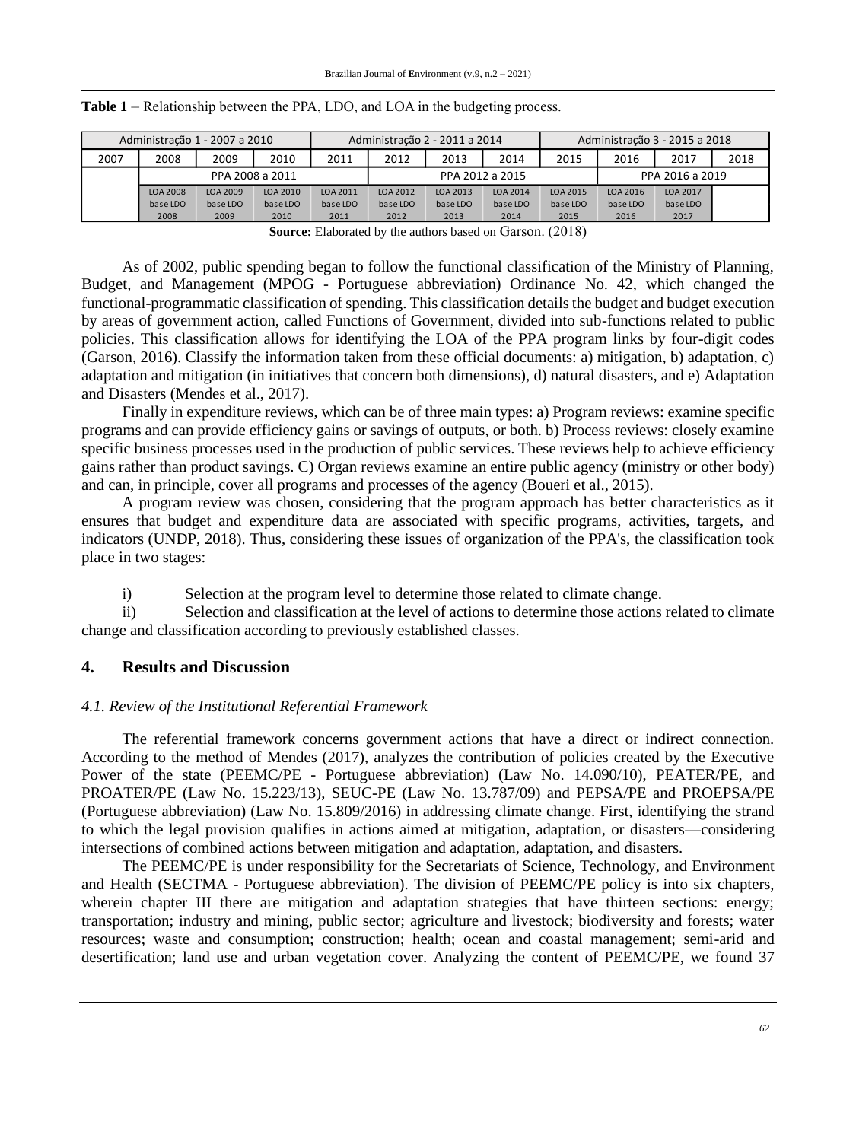| Administração 1 - 2007 a 2010 |                 |          | Administração 2 - 2011 a 2014 |                 |          | Administração 3 - 2015 a 2018 |          |                 |          |          |      |
|-------------------------------|-----------------|----------|-------------------------------|-----------------|----------|-------------------------------|----------|-----------------|----------|----------|------|
| 2007                          | 2008            | 2009     | 2010                          | 2011            | 2012     | 2013                          | 2014     | 2015            | 2016     | 2017     | 2018 |
|                               | PPA 2008 a 2011 |          |                               | PPA 2012 a 2015 |          |                               |          | PPA 2016 a 2019 |          |          |      |
|                               | LOA 2008        | LOA 2009 | LOA 2010                      | LOA 2011        | LOA 2012 | LOA 2013                      | LOA 2014 | LOA 2015        | LOA 2016 | LOA 2017 |      |
|                               | base LDO        | base LDO | base LDO                      | base LDO        | base LDO | base LDO                      | base LDO | base LDO        | base LDO | base LDO |      |
|                               | 2008            | 2009     | 2010                          | 2011            | 2012     | 2013                          | 2014     | 2015            | 2016     | 2017     |      |

|  |  |  | Table 1 – Relationship between the PPA, LDO, and LOA in the budgeting process. |
|--|--|--|--------------------------------------------------------------------------------|
|--|--|--|--------------------------------------------------------------------------------|

**Source:** Elaborated by the authors based on Garson. (2018)

As of 2002, public spending began to follow the functional classification of the Ministry of Planning, Budget, and Management (MPOG - Portuguese abbreviation) Ordinance No. 42, which changed the functional-programmatic classification of spending. This classification details the budget and budget execution by areas of government action, called Functions of Government, divided into sub-functions related to public policies. This classification allows for identifying the LOA of the PPA program links by four-digit codes (Garson, 2016). Classify the information taken from these official documents: a) mitigation, b) adaptation, c) adaptation and mitigation (in initiatives that concern both dimensions), d) natural disasters, and e) Adaptation and Disasters (Mendes et al., 2017).

Finally in expenditure reviews, which can be of three main types: a) Program reviews: examine specific programs and can provide efficiency gains or savings of outputs, or both. b) Process reviews: closely examine specific business processes used in the production of public services. These reviews help to achieve efficiency gains rather than product savings. C) Organ reviews examine an entire public agency (ministry or other body) and can, in principle, cover all programs and processes of the agency (Boueri et al., 2015).

A program review was chosen, considering that the program approach has better characteristics as it ensures that budget and expenditure data are associated with specific programs, activities, targets, and indicators (UNDP, 2018). Thus, considering these issues of organization of the PPA's, the classification took place in two stages:

i) Selection at the program level to determine those related to climate change.

ii) Selection and classification at the level of actions to determine those actions related to climate change and classification according to previously established classes.

## **4. Results and Discussion**

## *4.1. Review of the Institutional Referential Framework*

The referential framework concerns government actions that have a direct or indirect connection. According to the method of Mendes (2017), analyzes the contribution of policies created by the Executive Power of the state (PEEMC/PE - Portuguese abbreviation) (Law No. 14.090/10), PEATER/PE, and PROATER/PE (Law No. 15.223/13), SEUC-PE (Law No. 13.787/09) and PEPSA/PE and PROEPSA/PE (Portuguese abbreviation) (Law No. 15.809/2016) in addressing climate change. First, identifying the strand to which the legal provision qualifies in actions aimed at mitigation, adaptation, or disasters—considering intersections of combined actions between mitigation and adaptation, adaptation, and disasters.

The PEEMC/PE is under responsibility for the Secretariats of Science, Technology, and Environment and Health (SECTMA - Portuguese abbreviation). The division of PEEMC/PE policy is into six chapters, wherein chapter III there are mitigation and adaptation strategies that have thirteen sections: energy; transportation; industry and mining, public sector; agriculture and livestock; biodiversity and forests; water resources; waste and consumption; construction; health; ocean and coastal management; semi-arid and desertification; land use and urban vegetation cover. Analyzing the content of PEEMC/PE, we found 37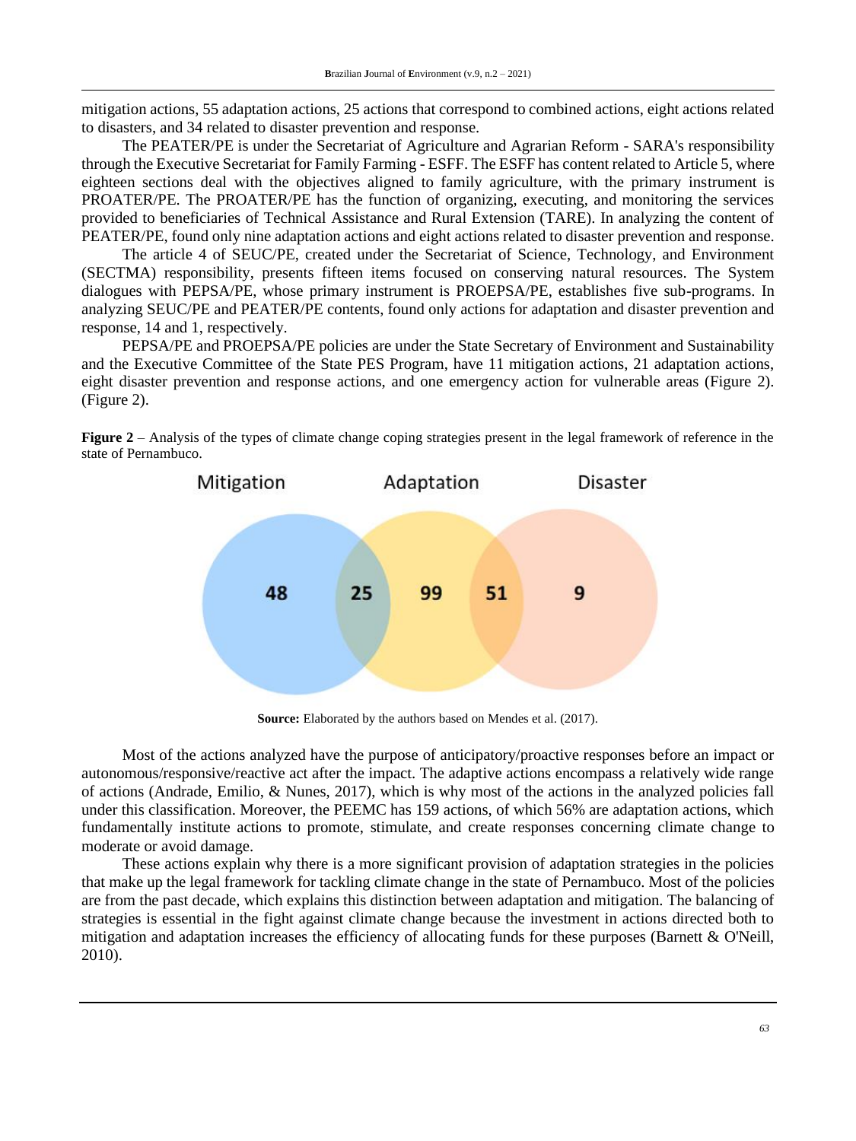mitigation actions, 55 adaptation actions, 25 actions that correspond to combined actions, eight actions related to disasters, and 34 related to disaster prevention and response.

The PEATER/PE is under the Secretariat of Agriculture and Agrarian Reform - SARA's responsibility through the Executive Secretariat for Family Farming - ESFF. The ESFF has content related to Article 5, where eighteen sections deal with the objectives aligned to family agriculture, with the primary instrument is PROATER/PE. The PROATER/PE has the function of organizing, executing, and monitoring the services provided to beneficiaries of Technical Assistance and Rural Extension (TARE). In analyzing the content of PEATER/PE, found only nine adaptation actions and eight actions related to disaster prevention and response.

The article 4 of SEUC/PE, created under the Secretariat of Science, Technology, and Environment (SECTMA) responsibility, presents fifteen items focused on conserving natural resources. The System dialogues with PEPSA/PE, whose primary instrument is PROEPSA/PE, establishes five sub-programs. In analyzing SEUC/PE and PEATER/PE contents, found only actions for adaptation and disaster prevention and response, 14 and 1, respectively.

PEPSA/PE and PROEPSA/PE policies are under the State Secretary of Environment and Sustainability and the Executive Committee of the State PES Program, have 11 mitigation actions, 21 adaptation actions, eight disaster prevention and response actions, and one emergency action for vulnerable areas (Figure 2). (Figure 2).





**Source:** Elaborated by the authors based on Mendes et al. (2017).

Most of the actions analyzed have the purpose of anticipatory/proactive responses before an impact or autonomous/responsive/reactive act after the impact. The adaptive actions encompass a relatively wide range of actions (Andrade, Emilio, & Nunes, 2017), which is why most of the actions in the analyzed policies fall under this classification. Moreover, the PEEMC has 159 actions, of which 56% are adaptation actions, which fundamentally institute actions to promote, stimulate, and create responses concerning climate change to moderate or avoid damage.

These actions explain why there is a more significant provision of adaptation strategies in the policies that make up the legal framework for tackling climate change in the state of Pernambuco. Most of the policies are from the past decade, which explains this distinction between adaptation and mitigation. The balancing of strategies is essential in the fight against climate change because the investment in actions directed both to mitigation and adaptation increases the efficiency of allocating funds for these purposes (Barnett & O'Neill, 2010).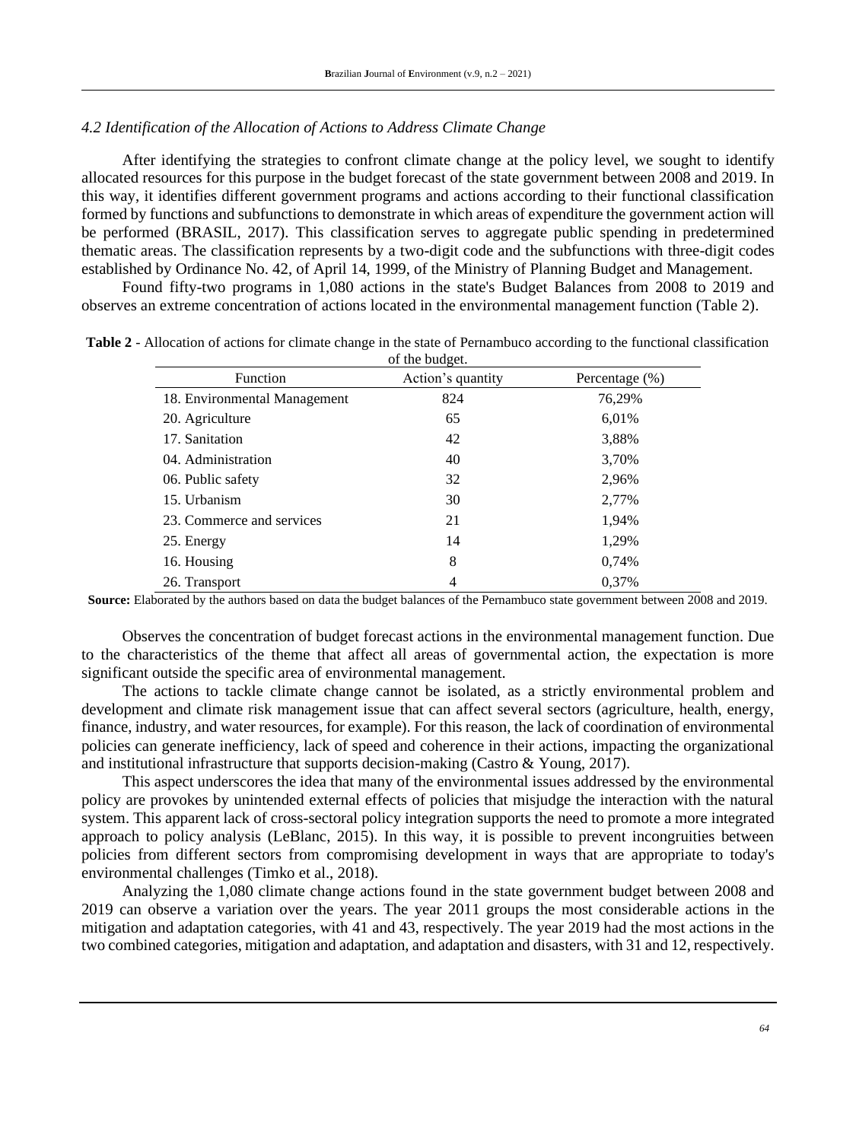### *4.2 Identification of the Allocation of Actions to Address Climate Change*

After identifying the strategies to confront climate change at the policy level, we sought to identify allocated resources for this purpose in the budget forecast of the state government between 2008 and 2019. In this way, it identifies different government programs and actions according to their functional classification formed by functions and subfunctions to demonstrate in which areas of expenditure the government action will be performed (BRASIL, 2017). This classification serves to aggregate public spending in predetermined thematic areas. The classification represents by a two-digit code and the subfunctions with three-digit codes established by Ordinance No. 42, of April 14, 1999, of the Ministry of Planning Budget and Management.

Found fifty-two programs in 1,080 actions in the state's Budget Balances from 2008 to 2019 and observes an extreme concentration of actions located in the environmental management function (Table 2).

| <b>Function</b>              | Action's quantity | Percentage (%) |
|------------------------------|-------------------|----------------|
| 18. Environmental Management | 824               | 76,29%         |
| 20. Agriculture              | 65                | 6,01%          |
| 17. Sanitation               | 42                | 3,88%          |
| 04. Administration           | 40                | 3,70%          |
| 06. Public safety            | 32                | 2,96%          |
| 15. Urbanism                 | 30                | 2,77%          |
| 23. Commerce and services    | 21                | 1,94%          |
| 25. Energy                   | 14                | 1,29%          |
| 16. Housing                  | 8                 | 0,74%          |
| 26. Transport                | 4                 | 0,37%          |

**Table 2** - Allocation of actions for climate change in the state of Pernambuco according to the functional classification of the budget.

**Source:** Elaborated by the authors based on data the budget balances of the Pernambuco state government between 2008 and 2019.

Observes the concentration of budget forecast actions in the environmental management function. Due to the characteristics of the theme that affect all areas of governmental action, the expectation is more significant outside the specific area of environmental management.

The actions to tackle climate change cannot be isolated, as a strictly environmental problem and development and climate risk management issue that can affect several sectors (agriculture, health, energy, finance, industry, and water resources, for example). For this reason, the lack of coordination of environmental policies can generate inefficiency, lack of speed and coherence in their actions, impacting the organizational and institutional infrastructure that supports decision-making (Castro & Young, 2017).

This aspect underscores the idea that many of the environmental issues addressed by the environmental policy are provokes by unintended external effects of policies that misjudge the interaction with the natural system. This apparent lack of cross-sectoral policy integration supports the need to promote a more integrated approach to policy analysis (LeBlanc, 2015). In this way, it is possible to prevent incongruities between policies from different sectors from compromising development in ways that are appropriate to today's environmental challenges (Timko et al., 2018).

Analyzing the 1,080 climate change actions found in the state government budget between 2008 and 2019 can observe a variation over the years. The year 2011 groups the most considerable actions in the mitigation and adaptation categories, with 41 and 43, respectively. The year 2019 had the most actions in the two combined categories, mitigation and adaptation, and adaptation and disasters, with 31 and 12, respectively.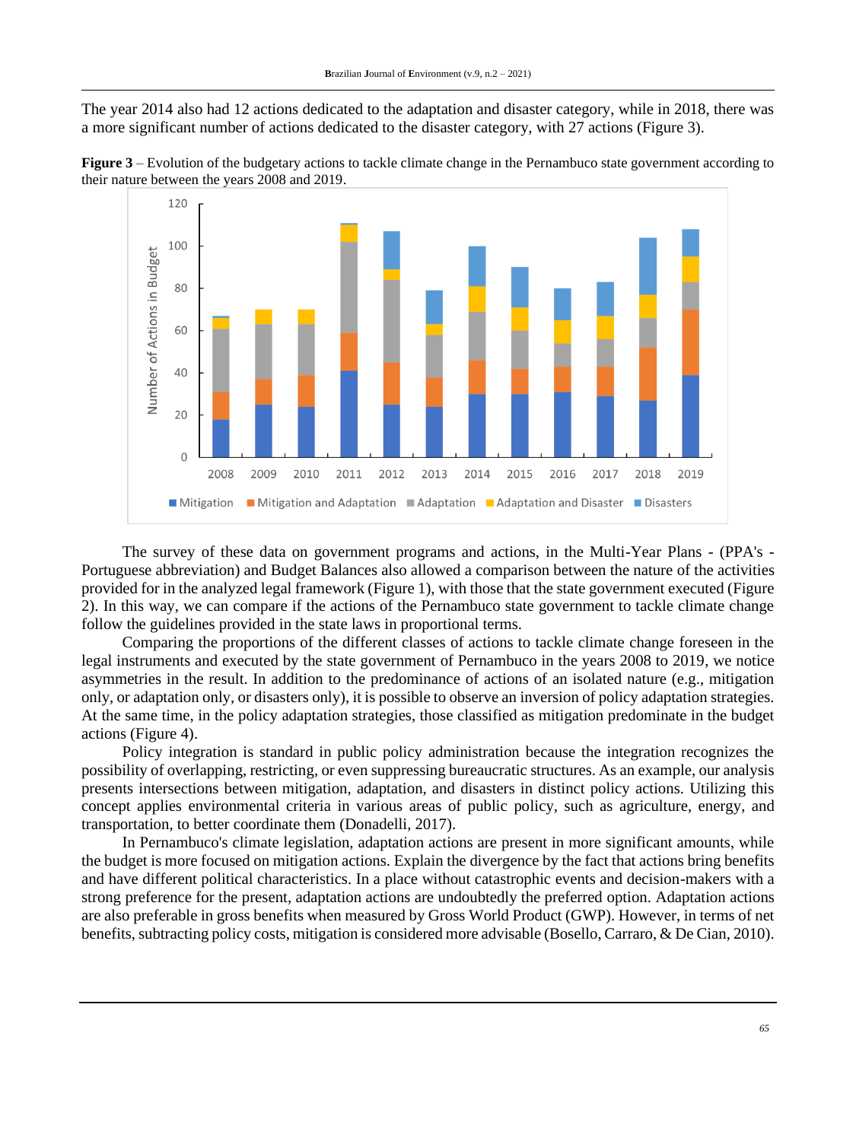The year 2014 also had 12 actions dedicated to the adaptation and disaster category, while in 2018, there was a more significant number of actions dedicated to the disaster category, with 27 actions (Figure 3).





The survey of these data on government programs and actions, in the Multi-Year Plans - (PPA's - Portuguese abbreviation) and Budget Balances also allowed a comparison between the nature of the activities provided for in the analyzed legal framework (Figure 1), with those that the state government executed (Figure 2). In this way, we can compare if the actions of the Pernambuco state government to tackle climate change follow the guidelines provided in the state laws in proportional terms.

Comparing the proportions of the different classes of actions to tackle climate change foreseen in the legal instruments and executed by the state government of Pernambuco in the years 2008 to 2019, we notice asymmetries in the result. In addition to the predominance of actions of an isolated nature (e.g., mitigation only, or adaptation only, or disasters only), it is possible to observe an inversion of policy adaptation strategies. At the same time, in the policy adaptation strategies, those classified as mitigation predominate in the budget actions (Figure 4).

Policy integration is standard in public policy administration because the integration recognizes the possibility of overlapping, restricting, or even suppressing bureaucratic structures. As an example, our analysis presents intersections between mitigation, adaptation, and disasters in distinct policy actions. Utilizing this concept applies environmental criteria in various areas of public policy, such as agriculture, energy, and transportation, to better coordinate them (Donadelli, 2017).

In Pernambuco's climate legislation, adaptation actions are present in more significant amounts, while the budget is more focused on mitigation actions. Explain the divergence by the fact that actions bring benefits and have different political characteristics. In a place without catastrophic events and decision-makers with a strong preference for the present, adaptation actions are undoubtedly the preferred option. Adaptation actions are also preferable in gross benefits when measured by Gross World Product (GWP). However, in terms of net benefits, subtracting policy costs, mitigation is considered more advisable (Bosello, Carraro, & De Cian, 2010).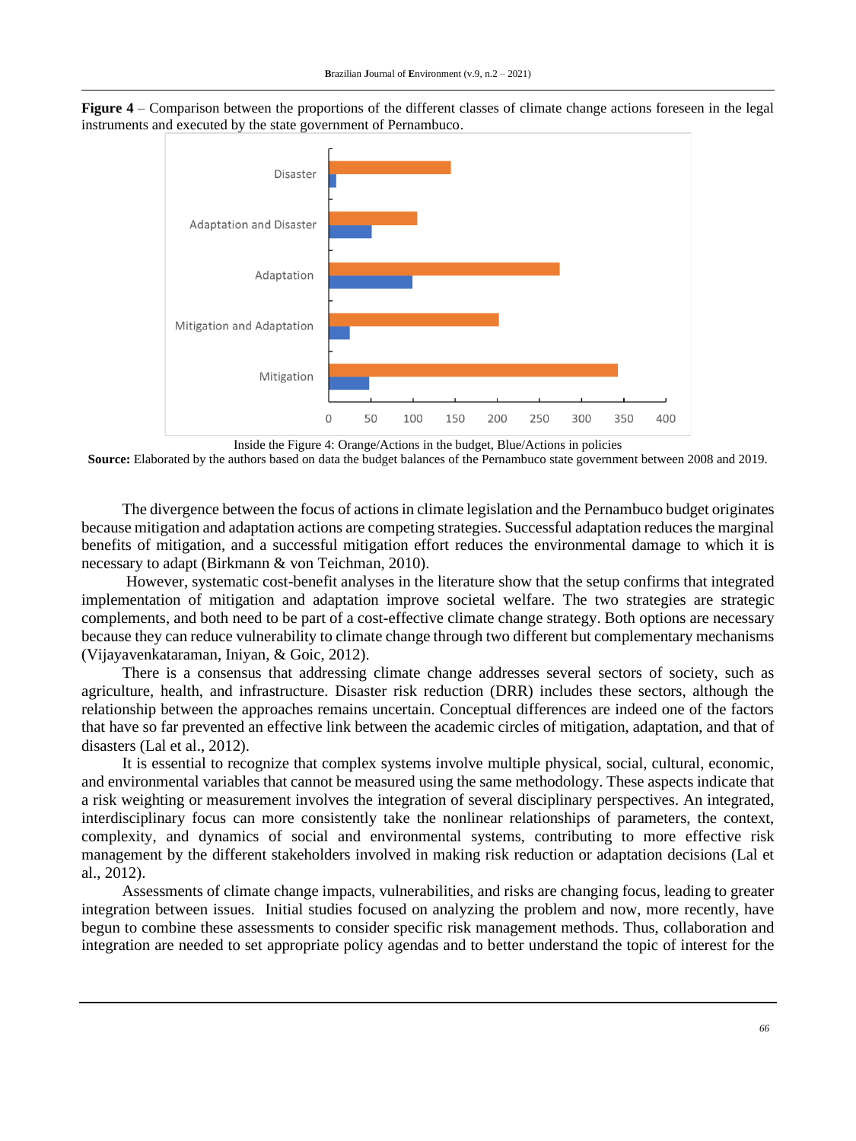



Inside the Figure 4: Orange/Actions in the budget, Blue/Actions in policies

**Source:** Elaborated by the authors based on data the budget balances of the Pernambuco state government between 2008 and 2019.

The divergence between the focus of actions in climate legislation and the Pernambuco budget originates because mitigation and adaptation actions are competing strategies. Successful adaptation reduces the marginal benefits of mitigation, and a successful mitigation effort reduces the environmental damage to which it is necessary to adapt (Birkmann & von Teichman, 2010).

However, systematic cost-benefit analyses in the literature show that the setup confirms that integrated implementation of mitigation and adaptation improve societal welfare. The two strategies are strategic complements, and both need to be part of a cost-effective climate change strategy. Both options are necessary because they can reduce vulnerability to climate change through two different but complementary mechanisms (Vijayavenkataraman, Iniyan, & Goic, 2012).

There is a consensus that addressing climate change addresses several sectors of society, such as agriculture, health, and infrastructure. Disaster risk reduction (DRR) includes these sectors, although the relationship between the approaches remains uncertain. Conceptual differences are indeed one of the factors that have so far prevented an effective link between the academic circles of mitigation, adaptation, and that of disasters (Lal et al., 2012).

It is essential to recognize that complex systems involve multiple physical, social, cultural, economic, and environmental variables that cannot be measured using the same methodology. These aspects indicate that a risk weighting or measurement involves the integration of several disciplinary perspectives. An integrated, interdisciplinary focus can more consistently take the nonlinear relationships of parameters, the context, complexity, and dynamics of social and environmental systems, contributing to more effective risk management by the different stakeholders involved in making risk reduction or adaptation decisions (Lal et al., 2012).

Assessments of climate change impacts, vulnerabilities, and risks are changing focus, leading to greater integration between issues. Initial studies focused on analyzing the problem and now, more recently, have begun to combine these assessments to consider specific risk management methods. Thus, collaboration and integration are needed to set appropriate policy agendas and to better understand the topic of interest for the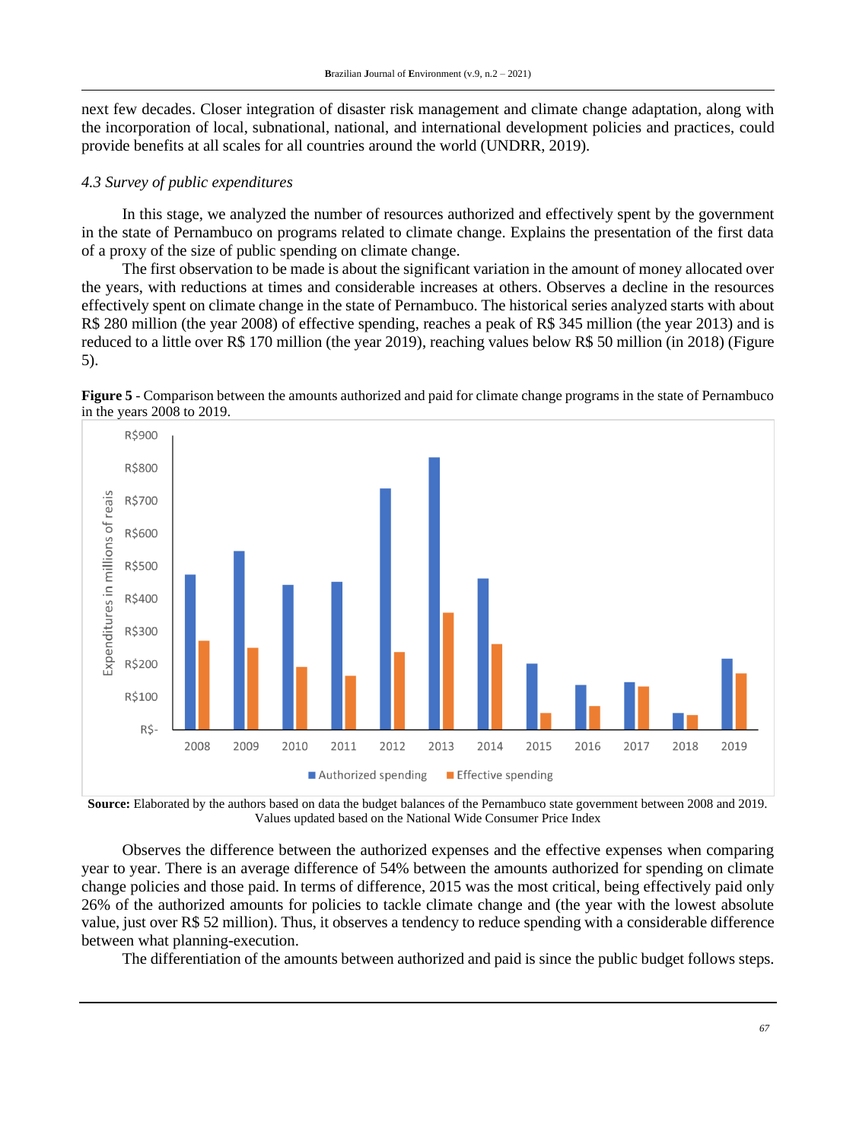next few decades. Closer integration of disaster risk management and climate change adaptation, along with the incorporation of local, subnational, national, and international development policies and practices, could provide benefits at all scales for all countries around the world (UNDRR, 2019).

#### *4.3 Survey of public expenditures*

In this stage, we analyzed the number of resources authorized and effectively spent by the government in the state of Pernambuco on programs related to climate change. Explains the presentation of the first data of a proxy of the size of public spending on climate change.

The first observation to be made is about the significant variation in the amount of money allocated over the years, with reductions at times and considerable increases at others. Observes a decline in the resources effectively spent on climate change in the state of Pernambuco. The historical series analyzed starts with about R\$ 280 million (the year 2008) of effective spending, reaches a peak of R\$ 345 million (the year 2013) and is reduced to a little over R\$ 170 million (the year 2019), reaching values below R\$ 50 million (in 2018) (Figure 5).





**Source:** Elaborated by the authors based on data the budget balances of the Pernambuco state government between 2008 and 2019. Values updated based on the National Wide Consumer Price Index

Observes the difference between the authorized expenses and the effective expenses when comparing year to year. There is an average difference of 54% between the amounts authorized for spending on climate change policies and those paid. In terms of difference, 2015 was the most critical, being effectively paid only 26% of the authorized amounts for policies to tackle climate change and (the year with the lowest absolute value, just over R\$ 52 million). Thus, it observes a tendency to reduce spending with a considerable difference between what planning-execution.

The differentiation of the amounts between authorized and paid is since the public budget follows steps.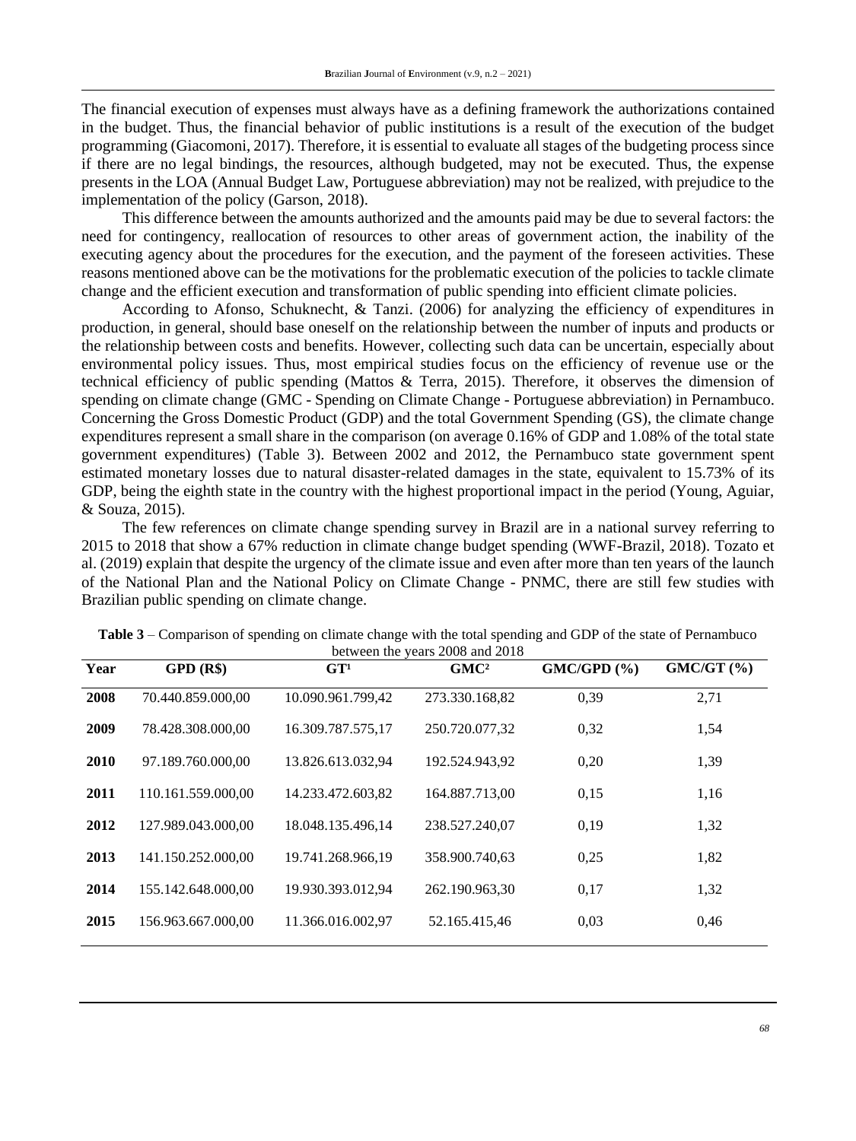The financial execution of expenses must always have as a defining framework the authorizations contained in the budget. Thus, the financial behavior of public institutions is a result of the execution of the budget programming (Giacomoni, 2017). Therefore, it is essential to evaluate all stages of the budgeting process since if there are no legal bindings, the resources, although budgeted, may not be executed. Thus, the expense presents in the LOA (Annual Budget Law, Portuguese abbreviation) may not be realized, with prejudice to the implementation of the policy (Garson, 2018).

This difference between the amounts authorized and the amounts paid may be due to several factors: the need for contingency, reallocation of resources to other areas of government action, the inability of the executing agency about the procedures for the execution, and the payment of the foreseen activities. These reasons mentioned above can be the motivations for the problematic execution of the policies to tackle climate change and the efficient execution and transformation of public spending into efficient climate policies.

According to Afonso, Schuknecht, & Tanzi. (2006) for analyzing the efficiency of expenditures in production, in general, should base oneself on the relationship between the number of inputs and products or the relationship between costs and benefits. However, collecting such data can be uncertain, especially about environmental policy issues. Thus, most empirical studies focus on the efficiency of revenue use or the technical efficiency of public spending (Mattos & Terra, 2015). Therefore, it observes the dimension of spending on climate change (GMC - Spending on Climate Change - Portuguese abbreviation) in Pernambuco. Concerning the Gross Domestic Product (GDP) and the total Government Spending (GS), the climate change expenditures represent a small share in the comparison (on average 0.16% of GDP and 1.08% of the total state government expenditures) (Table 3). Between 2002 and 2012, the Pernambuco state government spent estimated monetary losses due to natural disaster-related damages in the state, equivalent to 15.73% of its GDP, being the eighth state in the country with the highest proportional impact in the period (Young, Aguiar, & Souza, 2015).

The few references on climate change spending survey in Brazil are in a national survey referring to 2015 to 2018 that show a 67% reduction in climate change budget spending (WWF-Brazil, 2018). Tozato et al. (2019) explain that despite the urgency of the climate issue and even after more than ten years of the launch of the National Plan and the National Policy on Climate Change - PNMC, there are still few studies with Brazilian public spending on climate change.

| Year | GPD(R\$)           | GT <sup>1</sup>   | $\sigma$ and $\sigma$ and $\sigma$ and $\sigma$ and $\sigma$ and $\sigma$ and $\sigma$<br>GMC <sup>2</sup> | GMC/GPD(%) | $GMC/GT$ $(\%)$ |
|------|--------------------|-------------------|------------------------------------------------------------------------------------------------------------|------------|-----------------|
|      |                    |                   |                                                                                                            |            |                 |
| 2008 | 70.440.859.000,00  | 10.090.961.799,42 | 273.330.168,82                                                                                             | 0,39       | 2,71            |
| 2009 | 78.428.308.000,00  | 16.309.787.575,17 | 250.720.077,32                                                                                             | 0,32       | 1,54            |
| 2010 | 97.189.760.000,00  | 13.826.613.032,94 | 192.524.943,92                                                                                             | 0,20       | 1,39            |
| 2011 | 110.161.559.000,00 | 14.233.472.603,82 | 164.887.713.00                                                                                             | 0,15       | 1,16            |
| 2012 | 127.989.043.000.00 | 18.048.135.496.14 | 238.527.240.07                                                                                             | 0,19       | 1,32            |
| 2013 | 141.150.252.000.00 | 19.741.268.966.19 | 358.900.740.63                                                                                             | 0,25       | 1,82            |
| 2014 | 155.142.648.000.00 | 19.930.393.012.94 | 262.190.963,30                                                                                             | 0,17       | 1,32            |
| 2015 | 156.963.667.000,00 | 11.366.016.002,97 | 52.165.415,46                                                                                              | 0,03       | 0,46            |
|      |                    |                   |                                                                                                            |            |                 |

**Table 3** – Comparison of spending on climate change with the total spending and GDP of the state of Pernambuco between the years 2008 and 2018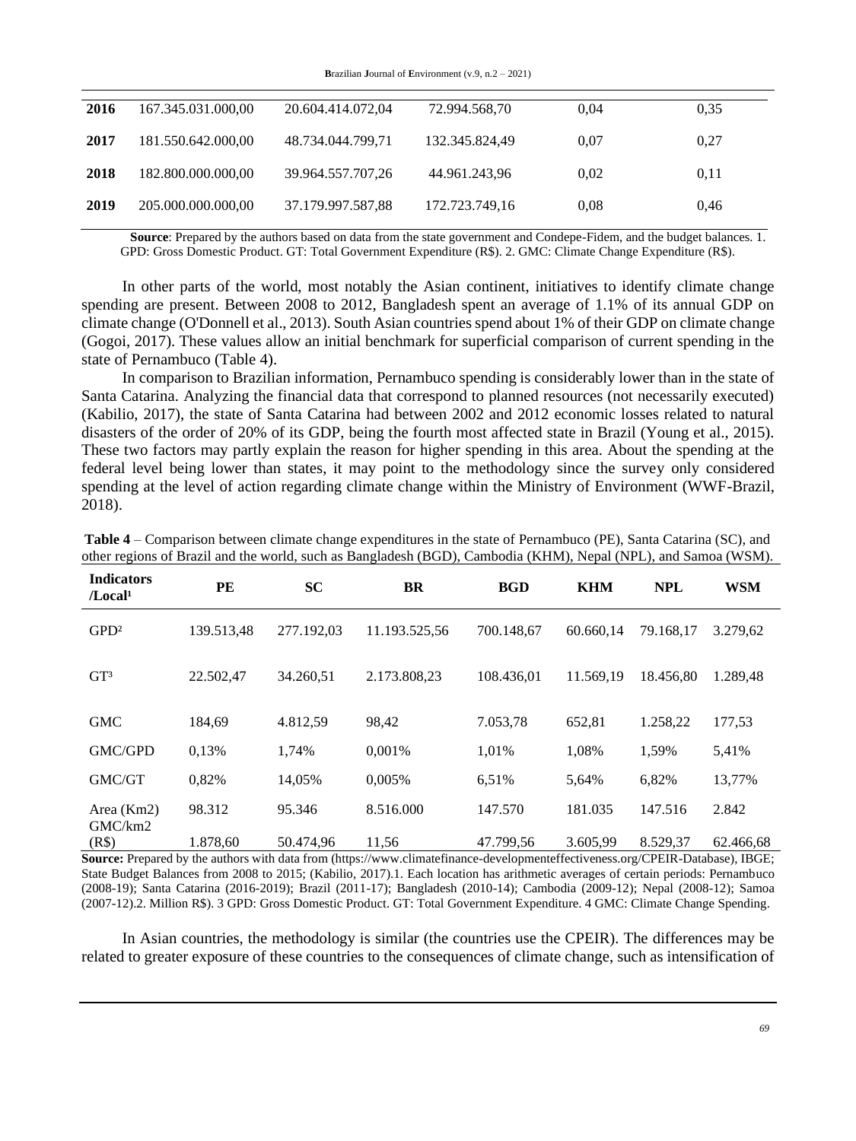**B**razilian **J**ournal of **E**nvironment (v.9, n.2 – 2021)

| 2016 | 167.345.031.000,00 | 20.604.414.072,04 | 72.994.568,70  | 0.04 | 0.35 |
|------|--------------------|-------------------|----------------|------|------|
| 2017 | 181.550.642.000,00 | 48.734.044.799.71 | 132.345.824,49 | 0.07 | 0,27 |
| 2018 | 182.800.000.000,00 | 39.964.557.707,26 | 44.961.243,96  | 0.02 | 0.11 |
| 2019 | 205.000.000.000,00 | 37.179.997.587,88 | 172.723.749,16 | 0.08 | 0.46 |

**Source**: Prepared by the authors based on data from the state government and Condepe-Fidem, and the budget balances. 1. GPD: Gross Domestic Product. GT: Total Government Expenditure (R\$). 2. GMC: Climate Change Expenditure (R\$).

In other parts of the world, most notably the Asian continent, initiatives to identify climate change spending are present. Between 2008 to 2012, Bangladesh spent an average of 1.1% of its annual GDP on climate change (O'Donnell et al., 2013). South Asian countries spend about 1% of their GDP on climate change (Gogoi, 2017). These values allow an initial benchmark for superficial comparison of current spending in the state of Pernambuco (Table 4).

In comparison to Brazilian information, Pernambuco spending is considerably lower than in the state of Santa Catarina. Analyzing the financial data that correspond to planned resources (not necessarily executed) (Kabilio, 2017), the state of Santa Catarina had between 2002 and 2012 economic losses related to natural disasters of the order of 20% of its GDP, being the fourth most affected state in Brazil (Young et al., 2015). These two factors may partly explain the reason for higher spending in this area. About the spending at the federal level being lower than states, it may point to the methodology since the survey only considered spending at the level of action regarding climate change within the Ministry of Environment (WWF-Brazil, 2018).

| <b>Indicators</b><br>/Local <sup>1</sup> | PE         | <b>SC</b>  | <b>BR</b>     | <b>BGD</b> | <b>KHM</b> | <b>NPL</b> | <b>WSM</b> |
|------------------------------------------|------------|------------|---------------|------------|------------|------------|------------|
| GPD <sup>2</sup>                         | 139.513,48 | 277.192.03 | 11.193.525,56 | 700.148,67 | 60.660.14  | 79.168,17  | 3.279,62   |
| GT <sup>3</sup>                          | 22.502,47  | 34.260,51  | 2.173.808,23  | 108.436.01 | 11.569.19  | 18.456.80  | 1.289.48   |
| <b>GMC</b>                               | 184,69     | 4.812,59   | 98,42         | 7.053,78   | 652,81     | 1.258,22   | 177,53     |
| GMC/GPD                                  | 0,13%      | 1,74%      | 0.001%        | 1,01%      | 1,08%      | 1,59%      | 5,41%      |
| GMC/GT                                   | 0,82%      | 14.05%     | 0.005%        | 6,51%      | 5,64%      | 6,82%      | 13,77%     |
| Area (Km2)<br>GMC/km2                    | 98.312     | 95.346     | 8.516.000     | 147.570    | 181.035    | 147.516    | 2.842      |
| (R\$)                                    | 1.878,60   | 50.474,96  | 11,56         | 47.799.56  | 3.605,99   | 8.529,37   | 62.466,68  |

**Table 4** – Comparison between climate change expenditures in the state of Pernambuco (PE), Santa Catarina (SC), and other regions of Brazil and the world, such as Bangladesh (BGD), Cambodia (KHM), Nepal (NPL), and Samoa (WSM).

**Source:** Prepared by the authors with data from (https://www.climatefinance-developmenteffectiveness.org/CPEIR-Database), IBGE; State Budget Balances from 2008 to 2015; (Kabilio, 2017).1. Each location has arithmetic averages of certain periods: Pernambuco (2008-19); Santa Catarina (2016-2019); Brazil (2011-17); Bangladesh (2010-14); Cambodia (2009-12); Nepal (2008-12); Samoa (2007-12).2. Million R\$). 3 GPD: Gross Domestic Product. GT: Total Government Expenditure. 4 GMC: Climate Change Spending.

In Asian countries, the methodology is similar (the countries use the CPEIR). The differences may be related to greater exposure of these countries to the consequences of climate change, such as intensification of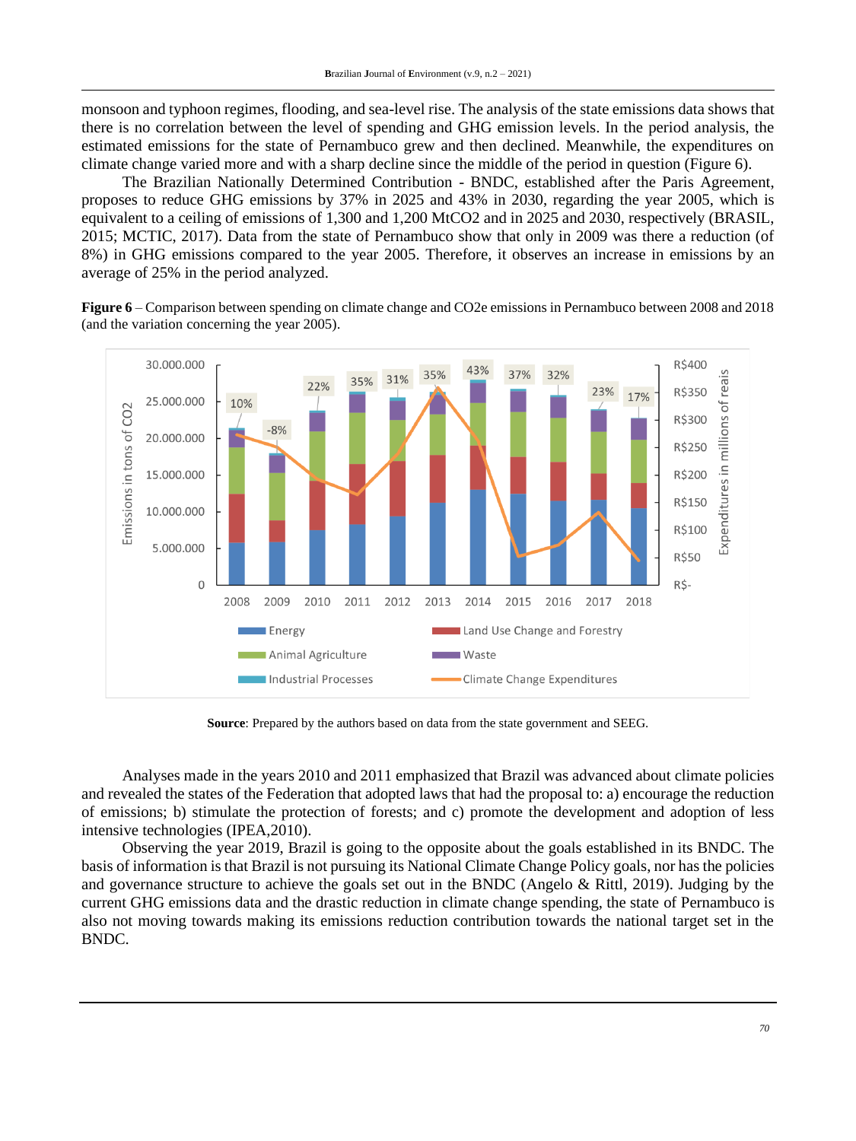monsoon and typhoon regimes, flooding, and sea-level rise. The analysis of the state emissions data shows that there is no correlation between the level of spending and GHG emission levels. In the period analysis, the estimated emissions for the state of Pernambuco grew and then declined. Meanwhile, the expenditures on climate change varied more and with a sharp decline since the middle of the period in question (Figure 6).

The Brazilian Nationally Determined Contribution - BNDC, established after the Paris Agreement, proposes to reduce GHG emissions by 37% in 2025 and 43% in 2030, regarding the year 2005, which is equivalent to a ceiling of emissions of 1,300 and 1,200 MtCO2 and in 2025 and 2030, respectively (BRASIL, 2015; MCTIC, 2017). Data from the state of Pernambuco show that only in 2009 was there a reduction (of 8%) in GHG emissions compared to the year 2005. Therefore, it observes an increase in emissions by an average of 25% in the period analyzed.

**Figure 6** – Comparison between spending on climate change and CO2e emissions in Pernambuco between 2008 and 2018 (and the variation concerning the year 2005).



**Source**: Prepared by the authors based on data from the state government and SEEG.

Analyses made in the years 2010 and 2011 emphasized that Brazil was advanced about climate policies and revealed the states of the Federation that adopted laws that had the proposal to: a) encourage the reduction of emissions; b) stimulate the protection of forests; and c) promote the development and adoption of less intensive technologies (IPEA,2010).

Observing the year 2019, Brazil is going to the opposite about the goals established in its BNDC. The basis of information is that Brazil is not pursuing its National Climate Change Policy goals, nor has the policies and governance structure to achieve the goals set out in the BNDC (Angelo & Rittl, 2019). Judging by the current GHG emissions data and the drastic reduction in climate change spending, the state of Pernambuco is also not moving towards making its emissions reduction contribution towards the national target set in the BNDC.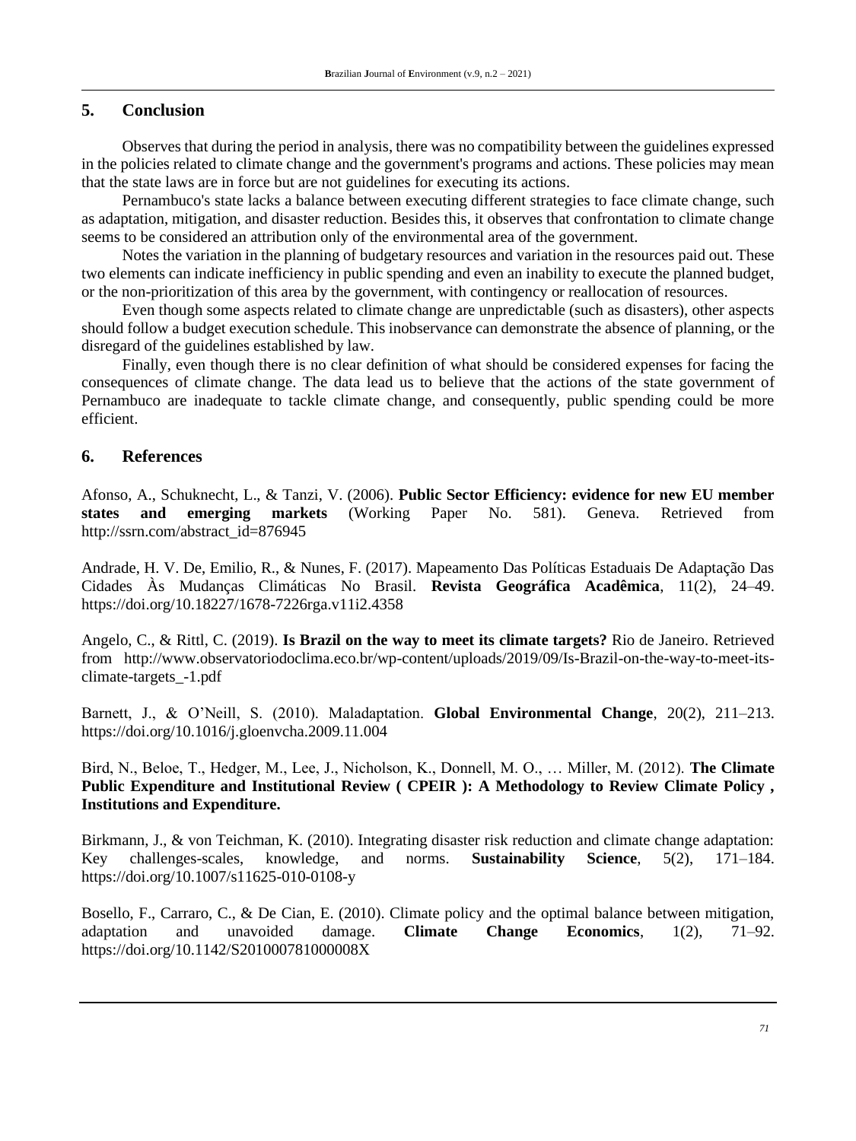# **5. Conclusion**

Observes that during the period in analysis, there was no compatibility between the guidelines expressed in the policies related to climate change and the government's programs and actions. These policies may mean that the state laws are in force but are not guidelines for executing its actions.

Pernambuco's state lacks a balance between executing different strategies to face climate change, such as adaptation, mitigation, and disaster reduction. Besides this, it observes that confrontation to climate change seems to be considered an attribution only of the environmental area of the government.

Notes the variation in the planning of budgetary resources and variation in the resources paid out. These two elements can indicate inefficiency in public spending and even an inability to execute the planned budget, or the non-prioritization of this area by the government, with contingency or reallocation of resources.

Even though some aspects related to climate change are unpredictable (such as disasters), other aspects should follow a budget execution schedule. This inobservance can demonstrate the absence of planning, or the disregard of the guidelines established by law.

Finally, even though there is no clear definition of what should be considered expenses for facing the consequences of climate change. The data lead us to believe that the actions of the state government of Pernambuco are inadequate to tackle climate change, and consequently, public spending could be more efficient.

# **6. References**

Afonso, A., Schuknecht, L., & Tanzi, V. (2006). **Public Sector Efficiency: evidence for new EU member states and emerging markets** (Working Paper No. 581). Geneva. Retrieved from [http://ssrn.com/abstract\\_id=876945](http://ssrn.com/abstract_id=876945)

Andrade, H. V. De, Emilio, R., & Nunes, F. (2017). Mapeamento Das Políticas Estaduais De Adaptação Das Cidades Às Mudanças Climáticas No Brasil. **Revista Geográfica Acadêmica**, 11(2), 24–49. <https://doi.org/10.18227/1678-7226rga.v11i2.4358>

Angelo, C., & Rittl, C. (2019). **Is Brazil on the way to meet its climate targets?** Rio de Janeiro. Retrieved from [http://www.observatoriodoclima.eco.br/wp-content/uploads/2019/09/Is-Brazil-on-the-way-to-meet-its](http://www.observatoriodoclima.eco.br/wp-content/uploads/2019/09/Is-Brazil-on-the-way-to-meet-its-climate-targets_-1.pdf)[climate-targets\\_-1.pdf](http://www.observatoriodoclima.eco.br/wp-content/uploads/2019/09/Is-Brazil-on-the-way-to-meet-its-climate-targets_-1.pdf)

Barnett, J., & O'Neill, S. (2010). Maladaptation. **Global Environmental Change**, 20(2), 211–213. <https://doi.org/10.1016/j.gloenvcha.2009.11.004>

Bird, N., Beloe, T., Hedger, M., Lee, J., Nicholson, K., Donnell, M. O., … Miller, M. (2012). **The Climate Public Expenditure and Institutional Review ( CPEIR ): A Methodology to Review Climate Policy , Institutions and Expenditure.**

Birkmann, J., & von Teichman, K. (2010). Integrating disaster risk reduction and climate change adaptation: Key challenges-scales, knowledge, and norms. **Sustainability Science**, 5(2), 171–184. <https://doi.org/10.1007/s11625-010-0108-y>

Bosello, F., Carraro, C., & De Cian, E. (2010). Climate policy and the optimal balance between mitigation, adaptation and unavoided damage. **Climate Change Economics**, 1(2), 71–92. <https://doi.org/10.1142/S201000781000008X>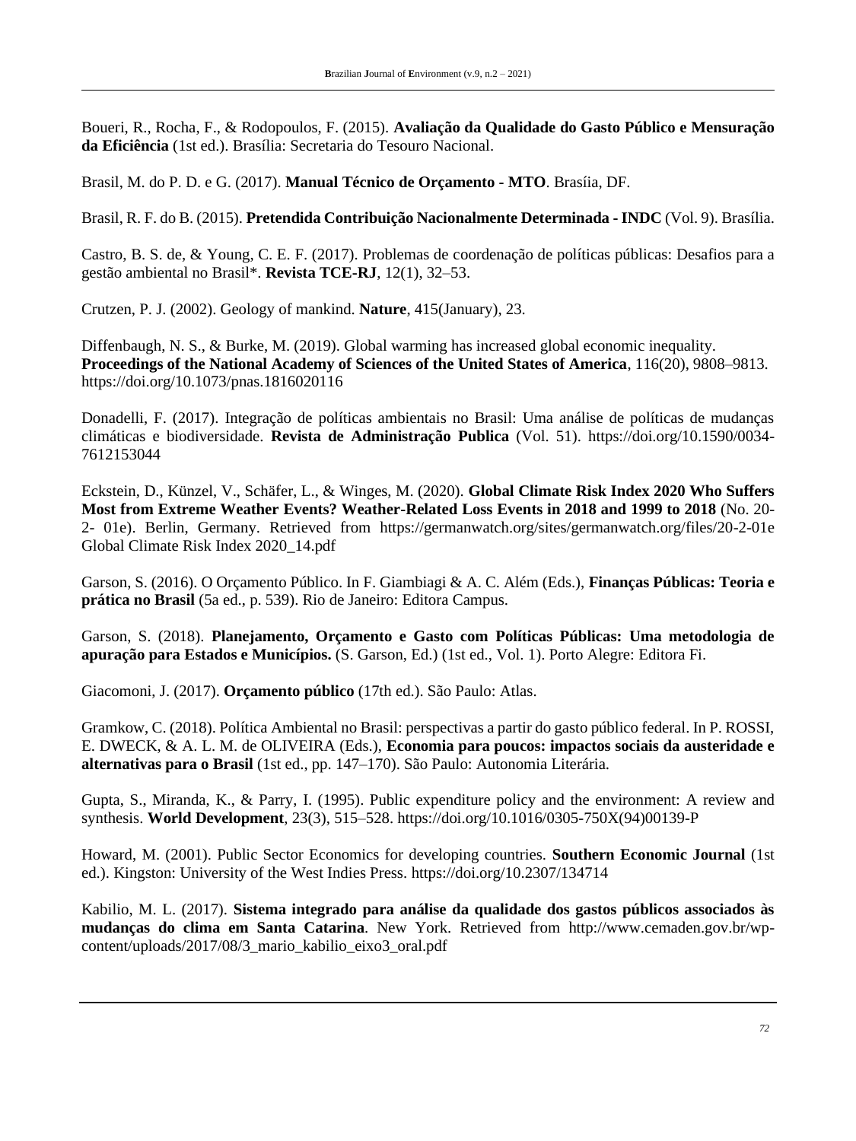Boueri, R., Rocha, F., & Rodopoulos, F. (2015). **Avaliação da Qualidade do Gasto Público e Mensuração da Eficiência** (1st ed.). Brasília: Secretaria do Tesouro Nacional.

Brasil, M. do P. D. e G. (2017). **Manual Técnico de Orçamento - MTO**. Brasíia, DF.

Brasil, R. F. do B. (2015). **Pretendida Contribuição Nacionalmente Determinada - INDC** (Vol. 9). Brasília.

Castro, B. S. de, & Young, C. E. F. (2017). Problemas de coordenação de políticas públicas: Desafios para a gestão ambiental no Brasil\*. **Revista TCE-RJ**, 12(1), 32–53.

Crutzen, P. J. (2002). Geology of mankind. **Nature**, 415(January), 23.

Diffenbaugh, N. S., & Burke, M. (2019). Global warming has increased global economic inequality. **Proceedings of the National Academy of Sciences of the United States of America**, 116(20), 9808–9813. <https://doi.org/10.1073/pnas.1816020116>

Donadelli, F. (2017). Integração de políticas ambientais no Brasil: Uma análise de políticas de mudanças climáticas e biodiversidade. **Revista de Administração Publica** (Vol. 51). [https://doi.org/10.1590/0034-](https://doi.org/10.1590/0034-7612153044) [7612153044](https://doi.org/10.1590/0034-7612153044)

Eckstein, D., Künzel, V., Schäfer, L., & Winges, M. (2020). **Global Climate Risk Index 2020 Who Suffers Most from Extreme Weather Events? Weather-Related Loss Events in 2018 and 1999 to 2018** (No. 20- 2- 01e). Berlin, Germany. Retrieved from https://germanwatch.org/sites/germanwatch.org/files/20-2-01e Global Climate Risk Index 2020\_14.pdf

Garson, S. (2016). O Orçamento Público. In F. Giambiagi & A. C. Além (Eds.), **Finanças Públicas: Teoria e prática no Brasil** (5a ed., p. 539). Rio de Janeiro: Editora Campus.

Garson, S. (2018). **Planejamento, Orçamento e Gasto com Políticas Públicas: Uma metodologia de apuração para Estados e Municípios.** (S. Garson, Ed.) (1st ed., Vol. 1). Porto Alegre: Editora Fi.

Giacomoni, J. (2017). **Orçamento público** (17th ed.). São Paulo: Atlas.

Gramkow, C. (2018). Política Ambiental no Brasil: perspectivas a partir do gasto público federal. In P. ROSSI, E. DWECK, & A. L. M. de OLIVEIRA (Eds.), **Economia para poucos: impactos sociais da austeridade e alternativas para o Brasil** (1st ed., pp. 147–170). São Paulo: Autonomia Literária.

Gupta, S., Miranda, K., & Parry, I. (1995). Public expenditure policy and the environment: A review and synthesis. **World Development**, 23(3), 515–528. [https://doi.org/10.1016/0305-750X\(94\)00139-P](https://doi.org/10.1016/0305-750X(94)00139-P)

Howard, M. (2001). Public Sector Economics for developing countries. **Southern Economic Journal** (1st ed.). Kingston: University of the West Indies Press.<https://doi.org/10.2307/134714>

Kabilio, M. L. (2017). **Sistema integrado para análise da qualidade dos gastos públicos associados às mudanças do clima em Santa Catarina**. New York. Retrieved from [http://www.cemaden.gov.br/wp](http://www.cemaden.gov.br/wp-content/uploads/2017/08/3_mario_kabilio_eixo3_oral.pdf)[content/uploads/2017/08/3\\_mario\\_kabilio\\_eixo3\\_oral.pdf](http://www.cemaden.gov.br/wp-content/uploads/2017/08/3_mario_kabilio_eixo3_oral.pdf)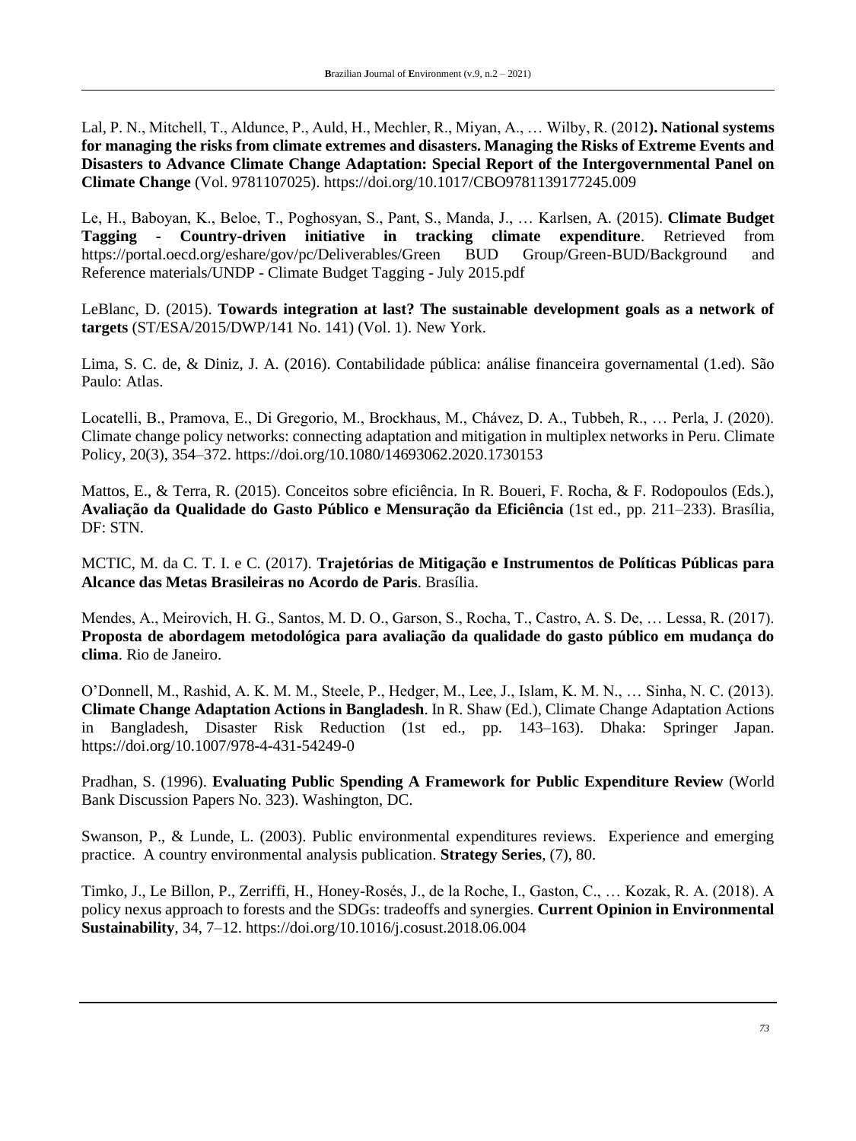Lal, P. N., Mitchell, T., Aldunce, P., Auld, H., Mechler, R., Miyan, A., … Wilby, R. (2012**). National systems for managing the risks from climate extremes and disasters. Managing the Risks of Extreme Events and Disasters to Advance Climate Change Adaptation: Special Report of the Intergovernmental Panel on Climate Change** (Vol. 9781107025).<https://doi.org/10.1017/CBO9781139177245.009>

Le, H., Baboyan, K., Beloe, T., Poghosyan, S., Pant, S., Manda, J., … Karlsen, A. (2015). **Climate Budget Tagging - Country-driven initiative in tracking climate expenditure**. Retrieved from https://portal.oecd.org/eshare/gov/pc/Deliverables/Green BUD Group/Green-BUD/Background and Reference materials/UNDP - Climate Budget Tagging - July 2015.pdf

LeBlanc, D. (2015). **Towards integration at last? The sustainable development goals as a network of targets** (ST/ESA/2015/DWP/141 No. 141) (Vol. 1). New York.

Lima, S. C. de, & Diniz, J. A. (2016). Contabilidade pública: análise financeira governamental (1.ed). São Paulo: Atlas.

Locatelli, B., Pramova, E., Di Gregorio, M., Brockhaus, M., Chávez, D. A., Tubbeh, R., … Perla, J. (2020). Climate change policy networks: connecting adaptation and mitigation in multiplex networks in Peru. Climate Policy, 20(3), 354–372.<https://doi.org/10.1080/14693062.2020.1730153>

Mattos, E., & Terra, R. (2015). Conceitos sobre eficiência. In R. Boueri, F. Rocha, & F. Rodopoulos (Eds.), **Avaliação da Qualidade do Gasto Público e Mensuração da Eficiência** (1st ed., pp. 211–233). Brasília, DF: STN.

MCTIC, M. da C. T. I. e C. (2017). **Trajetórias de Mitigação e Instrumentos de Políticas Públicas para Alcance das Metas Brasileiras no Acordo de Paris**. Brasília.

Mendes, A., Meirovich, H. G., Santos, M. D. O., Garson, S., Rocha, T., Castro, A. S. De, … Lessa, R. (2017). **Proposta de abordagem metodológica para avaliação da qualidade do gasto público em mudança do clima**. Rio de Janeiro.

O'Donnell, M., Rashid, A. K. M. M., Steele, P., Hedger, M., Lee, J., Islam, K. M. N., … Sinha, N. C. (2013). **Climate Change Adaptation Actions in Bangladesh**. In R. Shaw (Ed.), Climate Change Adaptation Actions in Bangladesh, Disaster Risk Reduction (1st ed., pp. 143–163). Dhaka: Springer Japan. <https://doi.org/10.1007/978-4-431-54249-0>

Pradhan, S. (1996). **Evaluating Public Spending A Framework for Public Expenditure Review** (World Bank Discussion Papers No. 323). Washington, DC.

Swanson, P., & Lunde, L. (2003). Public environmental expenditures reviews. Experience and emerging practice. A country environmental analysis publication. **Strategy Series**, (7), 80.

Timko, J., Le Billon, P., Zerriffi, H., Honey-Rosés, J., de la Roche, I., Gaston, C., … Kozak, R. A. (2018). A policy nexus approach to forests and the SDGs: tradeoffs and synergies. **Current Opinion in Environmental Sustainability**, 34, 7–12.<https://doi.org/10.1016/j.cosust.2018.06.004>